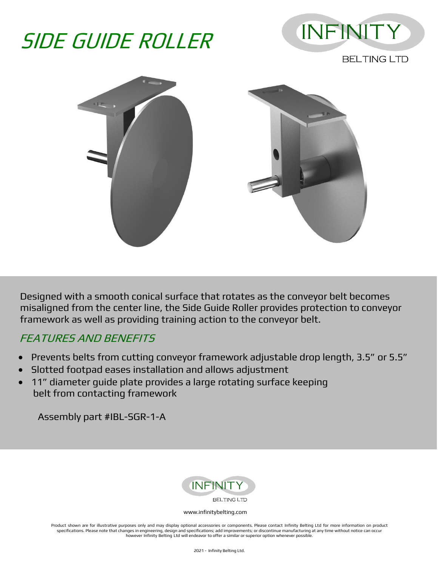## SIDE GUIDE ROLLER



**BELTING LTD** 



Designed with a smooth conical surface that rotates as the conveyor belt becomes misaligned from the center line, the Side Guide Roller provides protection to conveyor framework as well as providing training action to the conveyor belt.

## FEATURES AND BENEFITS

- Prevents belts from cutting conveyor framework adjustable drop length, 3.5" or 5.5"
- Slotted footpad eases installation and allows adjustment
- 11" diameter guide plate provides a large rotating surface keeping belt from contacting framework

Assembly part #IBL-SGR-1-A



## [www.infinitybelting.com](http://www.infinitybelting.com/)

Product shown are for illustrative purposes only and may display optional accessories or components. Please contact Infinity Belting Ltd for more information on product specifications. Please note that changes in engineering, design and specifications; add improvements; or discontinue manufacturing at any time without notice can occur however Infinity Belting Ltd will endeavor to offer a similar or superior option whenever possibl